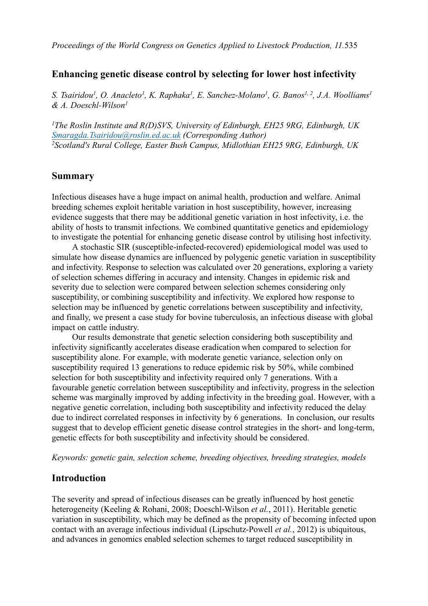## **Enhancing genetic disease control by selecting for lower host infectivity**

S. Tsairidou<sup>1</sup>, O. Anacleto<sup>1</sup>, K. Raphaka<sup>1</sup>, E. Sanchez-Molano<sup>1</sup>, G. Banos<sup>1, 2</sup>, J.A. Woolliams<sup>1</sup> *& A. Doeschl-Wilson<sup>1</sup>*

*<sup>1</sup>The Roslin Institute and R(D)SVS, University of Edinburgh, EH25 9RG, Edinburgh, UK [Smaragda.Tsairidou@roslin.ed.ac.uk](mailto:Smaragda.Tsairidou@roslin.ed.ac.uk) (Corresponding Author) <sup>2</sup>Scotland's Rural College, Easter Bush Campus, Midlothian EH25 9RG, Edinburgh, UK*

## **Summary**

Infectious diseases have a huge impact on animal health, production and welfare. Animal breeding schemes exploit heritable variation in host susceptibility, however, increasing evidence suggests that there may be additional genetic variation in host infectivity, i.e. the ability of hosts to transmit infections. We combined quantitative genetics and epidemiology to investigate the potential for enhancing genetic disease control by utilising host infectivity.

A stochastic SIR (susceptible-infected-recovered) epidemiological model was used to simulate how disease dynamics are influenced by polygenic genetic variation in susceptibility and infectivity. Response to selection was calculated over 20 generations, exploring a variety of selection schemes differing in accuracy and intensity. Changes in epidemic risk and severity due to selection were compared between selection schemes considering only susceptibility, or combining susceptibility and infectivity. We explored how response to selection may be influenced by genetic correlations between susceptibility and infectivity, and finally, we present a case study for bovine tuberculosis, an infectious disease with global impact on cattle industry.

Our results demonstrate that genetic selection considering both susceptibility and infectivity significantly accelerates disease eradication when compared to selection for susceptibility alone. For example, with moderate genetic variance, selection only on susceptibility required 13 generations to reduce epidemic risk by 50%, while combined selection for both susceptibility and infectivity required only 7 generations. With a favourable genetic correlation between susceptibility and infectivity, progress in the selection scheme was marginally improved by adding infectivity in the breeding goal. However, with a negative genetic correlation, including both susceptibility and infectivity reduced the delay due to indirect correlated responses in infectivity by 6 generations. In conclusion, our results suggest that to develop efficient genetic disease control strategies in the short- and long-term, genetic effects for both susceptibility and infectivity should be considered.

*Keywords: genetic gain, selection scheme, breeding objectives, breeding strategies, models*

## **Introduction**

The severity and spread of infectious diseases can be greatly influenced by host genetic heterogeneity [\(Keeling](#page-5-0) [&](#page-5-0) [Rohani,](#page-5-0) [2008;](#page-5-0) [Doeschl-Wilson](#page-5-1) *[et](#page-5-1) [al.](#page-5-1)*[,](#page-5-1) [2011](#page-5-1)). Heritable genetic variation in susceptibility, which may be defined as the propensity of becoming infected upon contact with an average infectious individual [\(Lipschutz-Powell](#page-5-2) *[et](#page-5-2) [al.](#page-5-2)*[,](#page-5-2) [2012](#page-5-2)) is ubiquitous, and advances in genomics enabled selection schemes to target reduced susceptibility in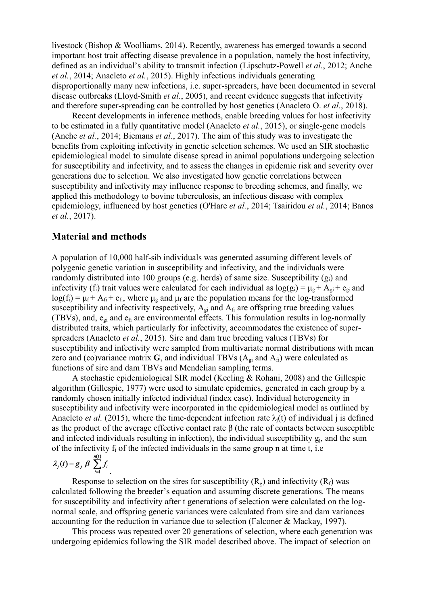livestock [\(Bishop](#page-5-3) [&](#page-5-3) [Woolliams,](#page-5-3) [2014\)](#page-5-3). Recently, awareness has emerged towards a second important host trait affecting disease prevalence in a population, namely the host infectivity, defined as an individual's ability to transmit infection ([Lipschutz-Powell](#page-5-2) *[et](#page-5-2) [al.](#page-5-2)*[,](#page-5-2) [2012;](#page-5-2) [Anche](#page-5-4) *[et](#page-5-4) [al.](#page-5-4)*[,](#page-5-4) [2014](#page-5-4); [Anacleto](#page-5-5) *[et](#page-5-5) [al.](#page-5-5)*[,](#page-5-5) [2015\)](#page-5-5). Highly infectious individuals generating disproportionally many new infections, i.e. super-spreaders, have been documented in several disease outbreaks [\(Lloyd-Smith](#page-5-6) *[et](#page-5-6) [al.](#page-5-6)*[,](#page-5-6) [2005](#page-5-6)), and recent evidence suggests that infectivity and therefore super-spreading can be controlled by host genetics ([Anacleto](#page-5-7) [O.](#page-5-7) *[et](#page-5-7) [al.](#page-5-7)*[,](#page-5-7) [2018](#page-5-7)).

Recent developments in inference methods, enable breeding values for host infectivity to be estimated in a fully quantitative model ([Anacleto](#page-5-5) *[et](#page-5-5) [al.](#page-5-5)*[,](#page-5-5) [2015](#page-5-5)), or single-gene models ([Anche](#page-5-4) *[et](#page-5-4) [al.](#page-5-4)*[,](#page-5-4) [2014;](#page-5-4) [Biemans](#page-5-8) *[et](#page-5-8) [al.](#page-5-8)*[,](#page-5-8) [2017\)](#page-5-8). The aim of this study was to investigate the benefits from exploiting infectivity in genetic selection schemes. We used an SIR stochastic epidemiological model to simulate disease spread in animal populations undergoing selection for susceptibility and infectivity, and to assess the changes in epidemic risk and severity over generations due to selection. We also investigated how genetic correlations between susceptibility and infectivity may influence response to breeding schemes, and finally, we applied this methodology to bovine tuberculosis, an infectious disease with complex epidemiology, influenced by host genetics ([O'Hare](#page-5-9) *[et](#page-5-9) [al.](#page-5-9)*[,](#page-5-9) [2014](#page-5-9); [Tsairidou](#page-5-10) *[et](#page-5-10) [al.](#page-5-10)*[,](#page-5-10) [2014;](#page-5-10) [Banos](#page-5-11) *[et](#page-5-11) [al.](#page-5-11)*[,](#page-5-11) [2017](#page-5-11)).

## **Material and methods**

A population of 10,000 half-sib individuals was generated assuming different levels of polygenic genetic variation in susceptibility and infectivity, and the individuals were randomly distributed into 100 groups (e.g. herds) of same size. Susceptibility  $(g_i)$  and infectivity (f<sub>i</sub>) trait values were calculated for each individual as  $log(g_i) = \mu_g + A_{gi} + e_{gi}$  and  $log(f_i) = \mu_f + A_{fi} + e_{fi}$ , where  $\mu_g$  and  $\mu_f$  are the population means for the log-transformed susceptibility and infectivity respectively,  $A_{gi}$  and  $A_{fi}$  are offspring true breeding values (TBVs), and,  $e_{gi}$  and  $e_{fi}$  are environmental effects. This formulation results in log-normally distributed traits, which particularly for infectivity, accommodates the existence of superspreaders [\(Anacleto](#page-5-5) *[et](#page-5-5) [al.](#page-5-5)*[,](#page-5-5) [2015](#page-5-5)). Sire and dam true breeding values (TBVs) for susceptibility and infectivity were sampled from multivariate normal distributions with mean zero and (co)variance matrix  $G$ , and individual TBVs ( $A_{gi}$  and  $A_{fi}$ ) were calculated as functions of sire and dam TBVs and Mendelian sampling terms.

A stochastic epidemiological SIR model ([Keeling](#page-5-0) [&](#page-5-0) [Rohani,](#page-5-0) [2008](#page-5-0)) and the Gillespie algorithm ([Gillespie,](#page-5-12) [1977](#page-5-12)) were used to simulate epidemics, generated in each group by a randomly chosen initially infected individual (index case). Individual heterogeneity in susceptibility and infectivity were incorporated in the epidemiological model as outlined by [Anacleto](#page-5-5) *[et](#page-5-5) [al.](#page-5-5)* [\(2015\),](#page-5-5) where the time-dependent infection rate  $\lambda_i(t)$  of individual j is defined as the product of the average effective contact rate β (the rate of contacts between susceptible and infected individuals resulting in infection), the individual susceptibility  $g_i$ , and the sum of the infectivity  $f_i$  of the infected individuals in the same group n at time t, i.e

$$
\lambda_j(t) = g_j \beta \sum_{i=1}^{n(t)} f_i
$$

Response to selection on the sires for susceptibility  $(R_g)$  and infectivity  $(R_f)$  was calculated following the breeder's equation and assuming discrete generations. The means for susceptibility and infectivity after t generations of selection were calculated on the lognormal scale, and offspring genetic variances were calculated from sire and dam variances accounting for the reduction in variance due to selection ([Falconer](#page-5-13) [&](#page-5-13) [Mackay,](#page-5-13) [1997](#page-5-13)).

This process was repeated over 20 generations of selection, where each generation was undergoing epidemics following the SIR model described above. The impact of selection on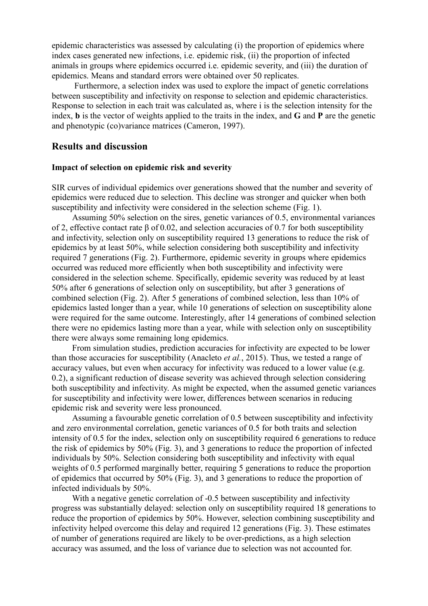epidemic characteristics was assessed by calculating (i) the proportion of epidemics where index cases generated new infections, i.e. epidemic risk, (ii) the proportion of infected animals in groups where epidemics occurred i.e. epidemic severity, and (iii) the duration of epidemics. Means and standard errors were obtained over 50 replicates.

Furthermore, a selection index was used to explore the impact of genetic correlations between susceptibility and infectivity on response to selection and epidemic characteristics. Response to selection in each trait was calculated as, where i is the selection intensity for the index, **b** is the vector of weights applied to the traits in the index, and **G** and **P** are the genetic and phenotypic (co)variance matrices ([Cameron,](#page-5-14) [1997\)](#page-5-14).

#### **Results and discussion**

#### **Impact of selection on epidemic risk and severity**

SIR curves of individual epidemics over generations showed that the number and severity of epidemics were reduced due to selection. This decline was stronger and quicker when both susceptibility and infectivity were considered in the selection scheme (Fig. 1).

Assuming 50% selection on the sires, genetic variances of 0.5, environmental variances of 2, effective contact rate β of 0.02, and selection accuracies of 0.7 for both susceptibility and infectivity, selection only on susceptibility required 13 generations to reduce the risk of epidemics by at least 50%, while selection considering both susceptibility and infectivity required 7 generations (Fig. 2). Furthermore, epidemic severity in groups where epidemics occurred was reduced more efficiently when both susceptibility and infectivity were considered in the selection scheme. Specifically, epidemic severity was reduced by at least 50% after 6 generations of selection only on susceptibility, but after 3 generations of combined selection (Fig. 2). After 5 generations of combined selection, less than 10% of epidemics lasted longer than a year, while 10 generations of selection on susceptibility alone were required for the same outcome. Interestingly, after 14 generations of combined selection there were no epidemics lasting more than a year, while with selection only on susceptibility there were always some remaining long epidemics.

From simulation studies, prediction accuracies for infectivity are expected to be lower than those accuracies for susceptibility [\(Anacleto](#page-5-5) *[et](#page-5-5) [al.](#page-5-5)*[,](#page-5-5) [2015](#page-5-5)). Thus, we tested a range of accuracy values, but even when accuracy for infectivity was reduced to a lower value (e.g. 0.2), a significant reduction of disease severity was achieved through selection considering both susceptibility and infectivity. As might be expected, when the assumed genetic variances for susceptibility and infectivity were lower, differences between scenarios in reducing epidemic risk and severity were less pronounced.

Assuming a favourable genetic correlation of 0.5 between susceptibility and infectivity and zero environmental correlation, genetic variances of 0.5 for both traits and selection intensity of 0.5 for the index, selection only on susceptibility required 6 generations to reduce the risk of epidemics by 50% (Fig. 3), and 3 generations to reduce the proportion of infected individuals by 50%. Selection considering both susceptibility and infectivity with equal weights of 0.5 performed marginally better, requiring 5 generations to reduce the proportion of epidemics that occurred by 50% (Fig. 3), and 3 generations to reduce the proportion of infected individuals by 50%.

With a negative genetic correlation of -0.5 between susceptibility and infectivity progress was substantially delayed: selection only on susceptibility required 18 generations to reduce the proportion of epidemics by 50%. However, selection combining susceptibility and infectivity helped overcome this delay and required 12 generations (Fig. 3). These estimates of number of generations required are likely to be over-predictions, as a high selection accuracy was assumed, and the loss of variance due to selection was not accounted for.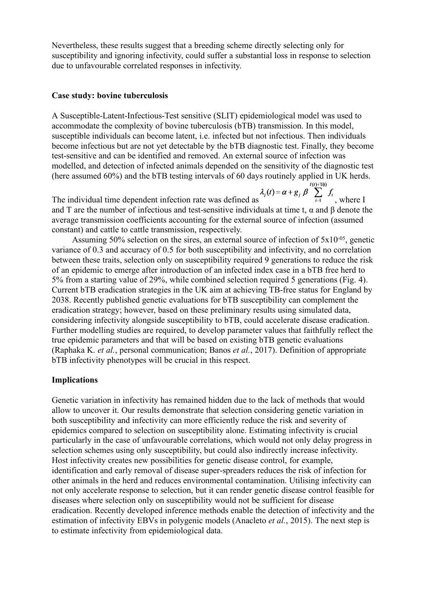Nevertheless, these results suggest that a breeding scheme directly selecting only for susceptibility and ignoring infectivity, could suffer a substantial loss in response to selection due to unfavourable correlated responses in infectivity.

#### **Case study: bovine tuberculosis**

A Susceptible-Latent-Infectious-Test sensitive (SLIT) epidemiological model was used to accommodate the complexity of bovine tuberculosis (bTB) transmission. In this model, susceptible individuals can become latent, i.e. infected but not infectious. Then individuals become infectious but are not yet detectable by the bTB diagnostic test. Finally, they become test-sensitive and can be identified and removed. An external source of infection was modelled, and detection of infected animals depended on the sensitivity of the diagnostic test

(here assumed 60%) and the bTB testing intervals of 60 days routinely applied in UK herds.<br>  $\lambda_j(t) = \alpha + g_j \beta \sum_{i=1}^{I(t)+T(t)} f_i$ <br>
The individual time dependent infection rate was defined as<br>  $\lambda_j(t) = \alpha + g_j \beta \sum_{i=1}^{I(t)+T(t)} f_i$ , wh The individual time dependent infection rate was defined as and T are the number of infectious and test-sensitive individuals at time t,  $\alpha$  and  $\beta$  denote the average transmission coefficients accounting for the external source of infection (assumed constant) and cattle to cattle transmission, respectively.

Assuming 50% selection on the sires, an external source of infection of  $5x10^{-05}$ , genetic variance of 0.3 and accuracy of 0.5 for both susceptibility and infectivity, and no correlation between these traits, selection only on susceptibility required 9 generations to reduce the risk of an epidemic to emerge after introduction of an infected index case in a bTB free herd to 5% from a starting value of 29%, while combined selection required 5 generations (Fig. 4). Current bTB eradication strategies in the UK aim at achieving TB-free status for England by 2038. Recently published genetic evaluations for bTB susceptibility can complement the eradication strategy; however, based on these preliminary results using simulated data, considering infectivity alongside susceptibility to bTB, could accelerate disease eradication. Further modelling studies are required, to develop parameter values that faithfully reflect the true epidemic parameters and that will be based on existing bTB genetic evaluations ([Raphaka](#page-5-15) [K.](#page-5-15) *[et](#page-5-15) [al.](#page-5-15)*[,](#page-5-15) [personal](#page-5-15) [communication;](#page-5-15) [Banos](#page-5-11) *[et](#page-5-11) [al.](#page-5-11)*[,](#page-5-11) [2017](#page-5-11)). Definition of appropriate bTB infectivity phenotypes will be crucial in this respect.

#### **Implications**

Genetic variation in infectivity has remained hidden due to the lack of methods that would allow to uncover it. Our results demonstrate that selection considering genetic variation in both susceptibility and infectivity can more efficiently reduce the risk and severity of epidemics compared to selection on susceptibility alone. Estimating infectivity is crucial particularly in the case of unfavourable correlations, which would not only delay progress in selection schemes using only susceptibility, but could also indirectly increase infectivity. Host infectivity creates new possibilities for genetic disease control, for example, identification and early removal of disease super-spreaders reduces the risk of infection for other animals in the herd and reduces environmental contamination. Utilising infectivity can not only accelerate response to selection, but it can render genetic disease control feasible for diseases where selection only on susceptibility would not be sufficient for disease eradication. Recently developed inference methods enable the detection of infectivity and the estimation of infectivity EBVs in polygenic models [\(Anacleto](#page-5-5) *[et](#page-5-5) [al.](#page-5-5)*[,](#page-5-5) [2015\)](#page-5-5). The next step is to estimate infectivity from epidemiological data.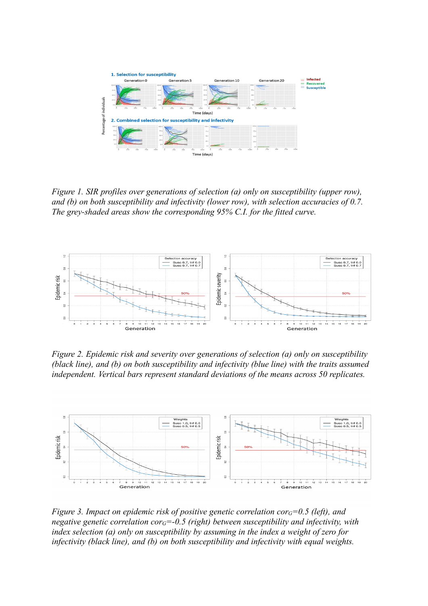

*Figure 1. SIR profiles over generations of selection (a) only on susceptibility (upper row), and (b) on both susceptibility and infectivity (lower row), with selection accuracies of 0.7. The grey-shaded areas show the corresponding 95% C.I. for the fitted curve.*



*Figure 2. Epidemic risk and severity over generations of selection (a) only on susceptibility (black line), and (b) on both susceptibility and infectivity (blue line) with the traits assumed independent. Vertical bars represent standard deviations of the means across 50 replicates.*



*Figure 3. Impact on epidemic risk of positive genetic correlation corG=0.5 (left), and negative genetic correlation corG=-0.5 (right) between susceptibility and infectivity, with index selection (a) only on susceptibility by assuming in the index a weight of zero for infectivity (black line), and (b) on both susceptibility and infectivity with equal weights.*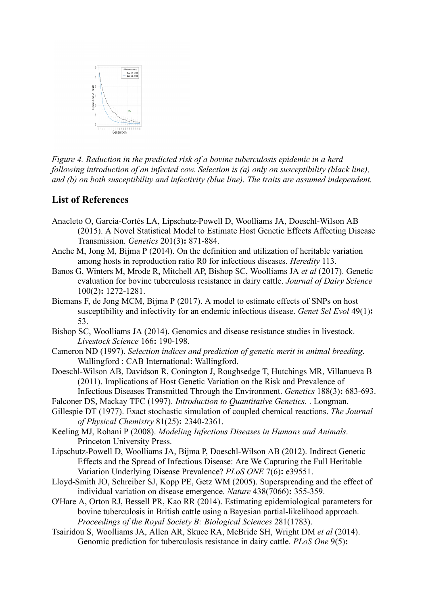

*Figure 4. Reduction in the predicted risk of a bovine tuberculosis epidemic in a herd following introduction of an infected cow. Selection is (a) only on susceptibility (black line), and (b) on both susceptibility and infectivity (blue line). The traits are assumed independent.*

# **List of References**

- <span id="page-5-5"></span>Anacleto O, Garcia-Cortés LA, Lipschutz-Powell D, Woolliams JA, Doeschl-Wilson AB (2015). A Novel Statistical Model to Estimate Host Genetic Effects Affecting Disease Transmission. *Genetics* 201(3)**:** 871-884.
- <span id="page-5-7"></span><span id="page-5-4"></span>Anche M, Jong M, Bijma P (2014). On the definition and utilization of heritable variation among hosts in reproduction ratio R0 for infectious diseases. *Heredity* 113.
- <span id="page-5-11"></span>Banos G, Winters M, Mrode R, Mitchell AP, Bishop SC, Woolliams JA *et al* (2017). Genetic evaluation for bovine tuberculosis resistance in dairy cattle. *Journal of Dairy Science* 100(2)**:** 1272-1281.
- <span id="page-5-8"></span>Biemans F, de Jong MCM, Bijma P (2017). A model to estimate effects of SNPs on host susceptibility and infectivity for an endemic infectious disease. *Genet Sel Evol* 49(1)**:** 53.
- <span id="page-5-3"></span>Bishop SC, Woolliams JA (2014). Genomics and disease resistance studies in livestock. *Livestock Science* 166**:** 190-198.
- <span id="page-5-14"></span>Cameron ND (1997). *Selection indices and prediction of genetic merit in animal breeding*. Wallingford : CAB International: Wallingford.
- <span id="page-5-1"></span>Doeschl-Wilson AB, Davidson R, Conington J, Roughsedge T, Hutchings MR, Villanueva B (2011). Implications of Host Genetic Variation on the Risk and Prevalence of Infectious Diseases Transmitted Through the Environment. *Genetics* 188(3)**:** 683-693.
- <span id="page-5-13"></span>Falconer DS, Mackay TFC (1997). *Introduction to Quantitative Genetics.* . Longman.
- <span id="page-5-12"></span>Gillespie DT (1977). Exact stochastic simulation of coupled chemical reactions. *The Journal of Physical Chemistry* 81(25)**:** 2340-2361.
- <span id="page-5-0"></span>Keeling MJ, Rohani P (2008). *Modeling Infectious Diseases in Humans and Animals*. Princeton University Press.
- <span id="page-5-2"></span>Lipschutz-Powell D, Woolliams JA, Bijma P, Doeschl-Wilson AB (2012). Indirect Genetic Effects and the Spread of Infectious Disease: Are We Capturing the Full Heritable Variation Underlying Disease Prevalence? *PLoS ONE* 7(6)**:** e39551.
- <span id="page-5-6"></span>Lloyd-Smith JO, Schreiber SJ, Kopp PE, Getz WM (2005). Superspreading and the effect of individual variation on disease emergence. *Nature* 438(7066)**:** 355-359.
- <span id="page-5-9"></span>O'Hare A, Orton RJ, Bessell PR, Kao RR (2014). Estimating epidemiological parameters for bovine tuberculosis in British cattle using a Bayesian partial-likelihood approach. *Proceedings of the Royal Society B: Biological Sciences* 281(1783).
- <span id="page-5-15"></span><span id="page-5-10"></span>Tsairidou S, Woolliams JA, Allen AR, Skuce RA, McBride SH, Wright DM *et al* (2014). Genomic prediction for tuberculosis resistance in dairy cattle. *PLoS One* 9(5)**:**